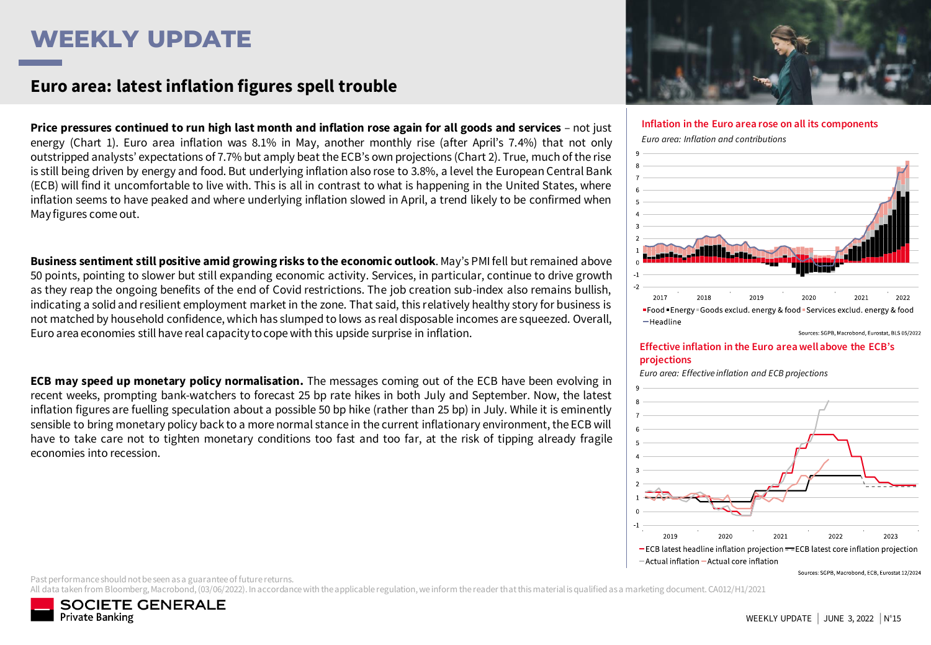# **WEEKLY UPDATE**

### **Doit-on craindre la progression des taux d'intérêt ? Euro area: latest inflation figures spell trouble**

Price pressures continued to run high last month and inflation rose again for all goods and services - not just energy (Chart 1). Euro area inflation was 8.1% in May, another monthly rise (after April's 7.4%) that not only outstripped analysts' expectations of 7.7% but amply beat the ECB's own projections (Chart 2). True, much of the rise is still being driven by energy and food. But underlying inflation also rose to 3.8%, a level the European Central Bank (ECB) will find it uncomfortable to live with. This is all in contrast to what is happening in the United States, where inflation seems to have peaked and where underlying inflation slowed in April, a trend likely to be confirmed when May figures come out.

**Business sentiment still positive amid growing risks to the economic outlook**. May's PMI fell but remained above 50 points, pointing to slower but still expanding economic activity. Services, in particular, continue to drive growth as they reap the ongoing benefits of the end of Covid restrictions. The job creation sub-index also remains bullish, indicating a solid and resilient employment market in the zone. That said, this relatively healthy story for business is not matched by household confidence, which has slumped to lows as real disposable incomes are squeezed. Overall, Euro area economies still have real capacity tocope with this upside surprise in inflation.

**ECB may speed up monetary policy normalisation.** The messages coming out of the ECB have been evolving in recent weeks, prompting bank-watchers to forecast 25 bp rate hikes in both July and September. Now, the latest inflation figures are fuelling speculation about a possible 50 bp hike (rather than 25 bp) in July. While it is eminently sensible to bring monetary policy back to a more normal stance in the current inflationary environment, the ECB will have to take care not to tighten monetary conditions too fast and too far, at the risk of tipping already fragile economies into recession.



**Inflation in the Euro area rose on all its components**

*Euro area: Inflation and contributions*



Sources: SGPB, Macrobond, Eurostat, BLS 05/2022

#### **Effective inflation in the Euro area well above the ECB's projections**

*Euro area: Effective inflation and ECB projections*



Sources: SGPB, Macrobond, ECB, Eurostat 12/2024

Past performance should not be seen as a guarantee of future returns.

All data taken from Bloomberg, Macrobond, (03/06/2022). In accordance with the applicable regulation, we inform the reader that this material is qualified as a marketing document. CA012/H1/2021

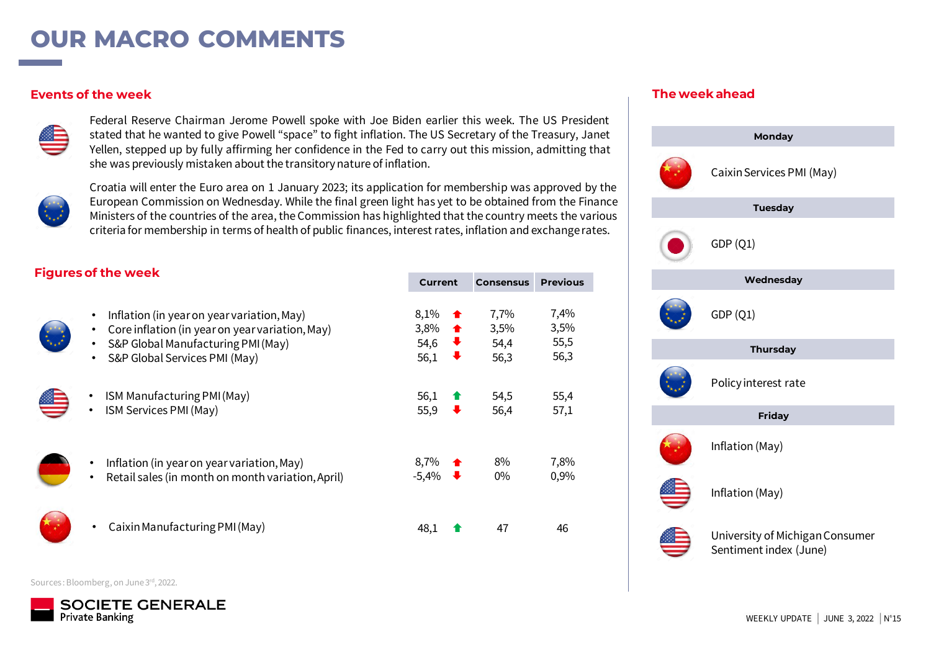# **OUR MACRO COMMENTS**

#### **Events of the week**



Federal Reserve Chairman Jerome Powell spoke with Joe Biden earlier this week. The US President stated that he wanted to give Powell "space" to fight inflation. The US Secretary of the Treasury, Janet Yellen, stepped up by fully affirming her confidence in the Fed to carry out this mission, admitting that she was previously mistaken about the transitorynature of inflation.



Croatia will enter the Euro area on 1 January 2023; its application for membership was approved by the European Commission on Wednesday. While the final green light has yet to be obtained from the Finance Ministers of the countries of the area, the Commission has highlighted that the country meets the various criteria for membership in terms of health of public finances, interest rates, inflation and exchangerates.

### **The week ahead**



### **Figures of the week**

| <b>Figures Of the Week</b>                                                                                                                                                                               | <b>Current</b>                                                    | <b>Consensus</b>             | <b>Previous</b>              |
|----------------------------------------------------------------------------------------------------------------------------------------------------------------------------------------------------------|-------------------------------------------------------------------|------------------------------|------------------------------|
| Inflation (in year on year variation, May)<br>٠<br>Core inflation (in year on year variation, May)<br>$\bullet$<br>S&P Global Manufacturing PMI (May)<br>$\bullet$<br>S&P Global Services PMI (May)<br>٠ | 8,1%<br>3,8%<br>$\bullet$<br>54,6<br>$\ddot{\phantom{1}}$<br>56,1 | 7,7%<br>3,5%<br>54,4<br>56,3 | 7,4%<br>3,5%<br>55,5<br>56,3 |
| ISM Manufacturing PMI (May)<br>ISM Services PMI (May)<br>$\bullet$                                                                                                                                       | 56,1<br>55,9                                                      | 54,5<br>56,4                 | 55,4<br>57,1                 |
| Inflation (in year on year variation, May)<br>Retail sales (in month on month variation, April)                                                                                                          | 8,7%<br>$-5,4\%$                                                  | 8%<br>$0\%$                  | 7,8%<br>0,9%                 |
| Caixin Manufacturing PMI (May)<br>٠                                                                                                                                                                      | 48.                                                               | 47                           | 46                           |

Sources: Bloomberg, on June 3rd, 2022.

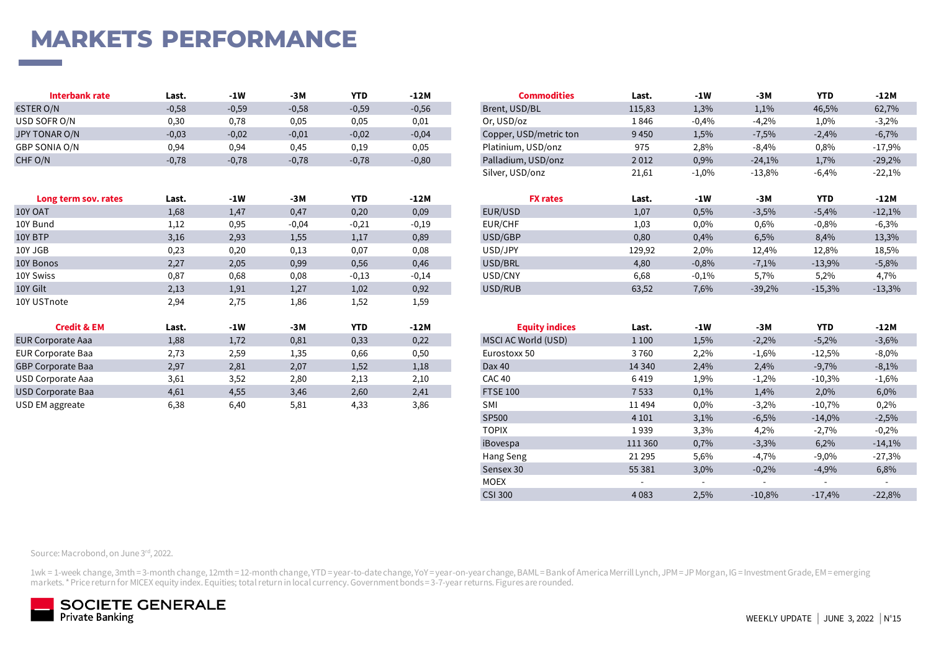# **MARKETS PERFORMANCE**

| Interbank rate | Last.   | -1W     | $-3M$   | <b>YTD</b> | $-12M$  | <b>Commodities</b>     | Last.  | $-1W$   | -3M      | <b>YTD</b> | $-12M$   |
|----------------|---------|---------|---------|------------|---------|------------------------|--------|---------|----------|------------|----------|
| €STER O/N      | $-0,58$ | $-0,59$ | $-0,58$ | $-0,59$    | $-0,56$ | Brent, USD/BL          | 115,83 | 1,3%    | 1,1%     | 46,5%      | 62,7%    |
| USD SOFR O/N   | 0,30    | 0,78    | 0,05    | 0,05       | 0,01    | Or, USD/oz             | 1846   | $-0.4%$ | $-4.2%$  | 1,0%       | $-3,2%$  |
| JPY TONAR O/N  | $-0,03$ | $-0,02$ | $-0,01$ | $-0,02$    | $-0,04$ | Copper, USD/metric ton | 9450   | 1,5%    | 7,5%     | $-2,4%$    | $-6,7%$  |
| GBP SONIA O/N  | 0,94    | 0,94    | 0,45    | 0.19       | 0,05    | Platinium, USD/onz     | 975    | 2,8%    | $-8.4%$  | 0,8%       | $-17,9%$ |
| CHF O/N        | $-0,78$ | $-0,78$ | $-0,78$ | $-0,78$    | $-0,80$ | Palladium, USD/onz     | 2012   | 0,9%    | $-24,1%$ | 1,7%       | $-29,2%$ |

| Last.                | $-1W$ | $-3M$   | <b>YTD</b> | $-12M$  | <b>FX rates</b> | Last.  | $-1W$   | $-3M$    | <b>YTD</b> | $-12M$   |
|----------------------|-------|---------|------------|---------|-----------------|--------|---------|----------|------------|----------|
| 1,68                 | 1,47  | 0,47    | 0,20       | 0,09    | EUR/USD         | 1,07   | 0,5%    | $-3,5%$  | $-5,4%$    | $-12,1%$ |
| 1,12                 | 0,95  | $-0,04$ | $-0,21$    | $-0,19$ | EUR/CHF         | 1,03   | 0,0%    | 0,6%     | $-0,8%$    | $-6,3%$  |
| 3,16                 | 2,93  | 1,55    | 1,17       | 0,89    | USD/GBP         | 0,80   | 0,4%    | 6,5%     | 8,4%       | 13,3%    |
| 0,23                 | 0,20  | 0,13    | 0,07       | 0,08    | USD/JPY         | 129,92 | 2,0%    | 12,4%    | 12,8%      | 18,5%    |
| 2,27                 | 2,05  | 0,99    | 0,56       | 0,46    | USD/BRL         | 4,80   | $-0,8%$ | $-7,1%$  | $-13,9%$   | $-5,8%$  |
| 0,87                 | 0,68  | 0,08    | $-0,13$    | $-0,14$ | USD/CNY         | 6,68   | $-0,1%$ | 5,7%     | 5,2%       | 4,7%     |
| 2,13                 | 1,91  | 1,27    | 1,02       | 0,92    | USD/RUB         | 63,52  | 7,6%    | $-39,2%$ | $-15,3%$   | $-13,3%$ |
| 2,94                 | 2,75  | 1,86    | 1,52       | 1,59    |                 |        |         |          |            |          |
| Long term sov. rates |       |         |            |         |                 |        |         |          |            |          |

| <b>Credit &amp; EM</b>   | Last. | $-1W$ | -3M  | <b>YTD</b> | $-12M$ | <b>Equity indices</b> | Last.    | -1W  | $-3M$   | <b>YTD</b> | $-12M$  |
|--------------------------|-------|-------|------|------------|--------|-----------------------|----------|------|---------|------------|---------|
| <b>EUR Corporate Aaa</b> | 1,88  | 1,72  | 0,81 | 0,33       | 0,22   | MSCI AC World (USD)   | 1 1 0 0  | 1,5% | $-2,2%$ | $-5,2%$    | $-3,6%$ |
| <b>EUR Corporate Baa</b> | 2,73  | 2,59  | 1,35 | 0,66       | 0,50   | Eurostoxx 50          | 3760     | 2,2% | $-1,6%$ | $-12,5%$   | $-8,0%$ |
| <b>GBP Corporate Baa</b> | 2,97  | 2,81  | 2,07 | 1,52       | 1,18   | Dax 40                | 14 3 4 0 | 2,4% | 2,4%    | $-9,7%$    | $-8,1%$ |
| USD Corporate Aaa        | 3,61  | 3,52  | 2,80 | 2.13       | 2,10   | CAC 40                | 6419     | 1,9% | $-1,2%$ | $-10,3%$   | $-1,6%$ |
| USD Corporate Baa        | 4,61  | 4,55  | 3,46 | 2,60       | 2,41   | <b>FTSE 100</b>       | 7533     | 0,1% | 1,4%    | 2,0%       | 6,0%    |
| USD EM aggreate          | 6.38  | 6.40  | 5.81 | 4.33       | 3.86   | SМ                    | 11494    | 0.0% | $-3.2%$ | $-10.7%$   | 0.2%    |

| Interbank rate       | Last.      | $-1W$         | -3M           | <b>YTD</b>           | $-12M$        | <b>Commodities</b>     | Last.                | -1W                  | -3M                  | <b>YTD</b>       | $-12M$                      |
|----------------------|------------|---------------|---------------|----------------------|---------------|------------------------|----------------------|----------------------|----------------------|------------------|-----------------------------|
| €STER O/N            | $-0,58$    | $-0,59$       | $-0,58$       | $-0,59$              | $-0,56$       | Brent, USD/BL          | 115,83               | 1,3%                 | 1,1%                 | 46,5%            | 62,7%                       |
| USD SOFR O/N         | 0,30       | 0,78          | 0,05          | 0,05                 | 0,01          | Or. USD/oz             | 1846                 | $-0,4%$              | $-4,2%$              | 1,0%             | $-3,2%$                     |
| JPY TONAR O/N        | $-0,03$    | $-0,02$       | $-0,01$       | $-0,02$              | $-0,04$       | Copper, USD/metric ton | 9450                 | 1,5%                 | $-7,5%$              | $-2,4%$          | $-6,7%$                     |
| GBP SONIA O/N        | 0,94       | 0,94          | 0,45          | 0,19                 | 0,05          | Platinium, USD/onz     | 975                  | 2,8%                 | $-8,4%$              | 0,8%             | $-17,9%$                    |
| CHF O/N              | $-0,78$    | $-0,78$       | $-0,78$       | $-0,78$              | $-0,80$       | Palladium, USD/onz     | 2012                 | 0,9%                 | $-24,1%$             | 1,7%             | $-29,2%$                    |
|                      |            |               |               |                      |               | Silver, USD/onz        | 21,61                | $-1,0%$              | $-13,8%$             | $-6,4%$          | $-22,1%$                    |
|                      |            |               |               |                      |               |                        |                      |                      |                      |                  |                             |
| Long term sov. rates | Last.      | $-1W$         | -3M           | <b>YTD</b>           | $-12M$        | <b>FX rates</b>        | Last.                | -1W                  | -3M                  | <b>YTD</b>       | $-12M$                      |
| $\cdots$             | $\sim$ 0.0 | $\sim$ $\sim$ | $\sim$ $\sim$ | $\sim$ $\sim$ $\sim$ | $\sim$ $\sim$ | $-11 - 112 - 1$        | $\sim$ $\sim$ $\sim$ | $\sim$ $\sim$ $\sim$ | $\sim$ $\sim$ $\sim$ | $ \cdot$ $\cdot$ | $\sim$ $\sim$ $\sim$ $\sim$ |

| EUR/USD | 1,07   | 0,5%    | $-3,5%$  | $-5.4%$  | $-12,1%$ |
|---------|--------|---------|----------|----------|----------|
| EUR/CHF | 1,03   | $0.0\%$ | $0.6\%$  | $-0.8%$  | $-6,3%$  |
| USD/GBP | 0.80   | 0.4%    | 6.5%     | 8.4%     | 13,3%    |
| USD/JPY | 129.92 | 2.0%    | 12.4%    | 12.8%    | 18,5%    |
| USD/BRL | 4.80   | $-0,8%$ | $-7.1\%$ | $-13.9%$ | $-5,8%$  |
| USD/CNY | 6.68   | $-0.1%$ | 5.7%     | 5.2%     | 4.7%     |
| USD/RUB | 63,52  | 7,6%    | $-39,2%$ | $-15,3%$ | $-13,3%$ |
|         |        |         |          |          |          |

| <b>Credit &amp; EM</b>   | Last. | $-1W$ | $-3M$ | <b>YTD</b> | $-12M$    | <b>Equity indices</b> | Last.                    | $-1W$                    | $-3M$                    | <b>YTD</b>               | $-12M$                   |         |      |          |
|--------------------------|-------|-------|-------|------------|-----------|-----------------------|--------------------------|--------------------------|--------------------------|--------------------------|--------------------------|---------|------|----------|
| <b>EUR Corporate Aaa</b> | 1,88  | 1,72  | 0,81  | 0,33       | 0,22      | MSCI AC World (USD)   | 1 1 0 0                  | 1,5%                     | $-2,2%$                  | $-5,2%$                  | $-3,6%$                  |         |      |          |
| EUR Corporate Baa        | 2,73  | 2,59  | 1,35  | 0,66       | 0,50      | Eurostoxx 50          | 3760                     | 2,2%                     | $-1,6%$                  | $-12,5%$                 | $-8,0\%$                 |         |      |          |
| <b>GBP Corporate Baa</b> | 2,97  | 2,81  | 2,07  | 1,52       | 1,18      | Dax 40                | 14 3 4 0                 | 2,4%                     | 2,4%                     | $-9,7%$                  | $-8,1%$                  |         |      |          |
| USD Corporate Aaa        | 3,61  | 3,52  | 2,80  | 2,13       | 2,10      | CAC 40                | 6419                     | 1,9%                     | $-1,2%$                  | $-10,3%$                 | $-1,6%$                  |         |      |          |
| <b>USD Corporate Baa</b> | 4,61  | 4,55  | 3,46  | 2,60       | 2,41      | <b>FTSE 100</b>       | 7533                     | 0,1%                     | 1,4%                     | 2,0%                     | 6,0%                     |         |      |          |
| USD EM aggreate          | 6,38  | 6,40  | 5,81  | 4,33       | 3,86      | SMI                   | 11494                    | 0,0%                     | $-3,2%$                  | $-10,7\%$                | 0,2%                     |         |      |          |
|                          |       |       |       |            |           | SP500                 | 4 1 0 1                  | 3,1%                     | $-6,5%$                  | $-14,0%$                 | $-2,5%$                  |         |      |          |
|                          |       |       |       |            |           | <b>TOPIX</b>          | 1939                     | 3,3%                     | 4,2%                     | $-2,7%$                  | $-0,2%$                  |         |      |          |
|                          |       |       |       |            |           |                       |                          |                          | iBovespa                 | 111 360                  | 0,7%                     | $-3,3%$ | 6,2% | $-14,1%$ |
|                          |       |       |       |            | Hang Seng | 21 2 9 5              | 5,6%                     | $-4,7%$                  | $-9,0\%$                 | $-27,3%$                 |                          |         |      |          |
|                          |       |       |       |            |           | Sensex 30             | 55 381                   | 3,0%                     | $-0,2%$                  | $-4,9%$                  | 6,8%                     |         |      |          |
|                          |       |       |       |            |           | <b>MOEX</b>           | $\overline{\phantom{a}}$ | $\overline{\phantom{0}}$ | $\overline{\phantom{a}}$ | $\overline{\phantom{0}}$ | $\overline{\phantom{a}}$ |         |      |          |
|                          |       |       |       |            |           | <b>CSI 300</b>        | 4 0 8 3                  | 2,5%                     | $-10,8%$                 | $-17,4%$                 | $-22,8%$                 |         |      |          |

Source: Macrobond, on June 3rd, 2022.

1wk = 1-week change, 3mth = 3-month change, 12mth = 12-month change, YTD = year-to-date change, YoY = year-on-year change, BAML = Bank of America Merrill Lynch, JPM = JP Morgan, IG = Investment Grade, EM = emerging markets. \* Price return for MICEX equity index. Equities; total return in local currency. Government bonds = 3-7-year returns. Figures are rounded.

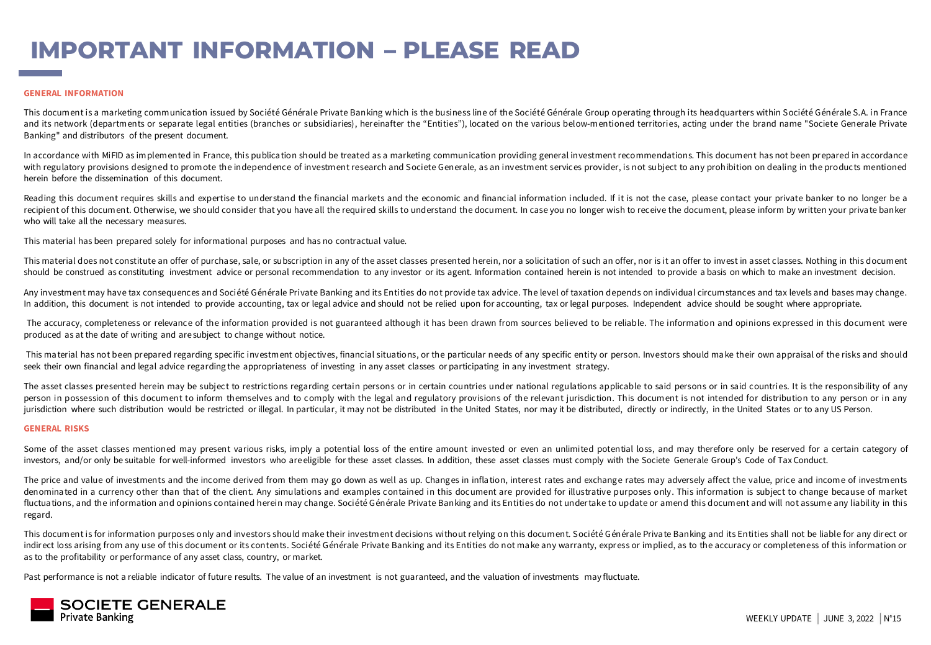# **IMPORTANT INFORMATION – PLEASE READ**

#### **GENERAL INFORMATION**

This document is a marketing communica tion issued by Société Générale Private Banking which is the business line of the Société Générale Group operating through its headquarters within Société Générale S.A. in France and its network (departments or separate legal entities (branches or subsidiaries), hereinafter the "Entities"), located on the various below-mentioned territories, acting under the brand name "Societe Generale Private Banking" and distributors of the present document.

In accordance with MiFID as implemented in France, this publication should be treated as a marketing communication providing general investment recommendations. This document has not been prepared in accordance with regulatory provisions designed to promote the independence of investment research and Societe Generale, as an investment services provider, is not subject to any prohibition on dealing in the products mentioned herein before the dissemination of this document.

Reading this document requires skills and expertise to understand the financial markets and the economic and financial information included. If it is not the case, please contact your private banker to no longer be a recipient of this document. Otherwise, we should consider that you have all the required skills to understand the document. In case you no longer wish to receive the document, please inform by written your private banker who will take all the necessary measures.

This material has been prepared solely for informational purposes and has no contractual value.

This material does not constitute an offer of purchase, sale, or subscription in any of the asset classes presented herein, nor a solicitation of such an offer, nor is it an offer to invest in asset classes. Nothing in thi should be construed as constituting investment advice or personal recommendation to any investor or its agent. Information contained herein is not intended to provide a basis on which to make an investment decision.

Any investment may have tax consequences and Société Générale Private Banking and its Entities do not provide tax advice. The level of taxation depends on individual circumstances and tax levels and bases may change. In addition, this document is not intended to provide accounting, tax or legal advice and should not be relied upon for accounting, tax or legal purposes. Independent advice should be sought where appropriate.

The accuracy, completeness or relevance of the information provided is not guaranteed although it has been drawn from sources believed to be reliable. The information and opinions expressed in this document were produced as at the date of writing and are subject to change without notice.

This material has not been prepared regarding specific investment objectives, financial situations, or the particular needs of any specific entity or person. Investors should make their own appraisal of the risks and shoul seek their own financial and legal advice regarding the appropriateness of investing in any asset classes or participating in any investment strategy.

The asset classes presented herein may be subject to restrictions regarding certain persons or in certain countries under national regulations applicable to said persons or in said countries. It is the responsibility of an person in possession of this document to inform themselves and to comply with the legal and regulatory provisions of the relevant jurisdiction. This document is not intended for distribution to any person or in any jurisdiction where such distribution would be restricted or illegal. In particular, it may not be distributed in the United States, nor may it be distributed, directly or indirectly, in the United States or to any US Perso

#### **GENERAL RISKS**

Some of the asset classes mentioned may present various risks, imply a potential loss of the entire amount invested or even an unlimited potential loss, and may therefore only be reserved for a certain category of investors, and/or only be suitable for well-informed investors who areeligible for these asset classes. In addition, these asset classes must comply with the Societe Generale Group's Code of Tax Conduct.

The price and value of investments and the income derived from them may go down as well as up. Changes in inflation, interest rates and exchange rates may adversely affect the value, price and income of investments denominated in a currency other than that of the client. Any simulations and examples contained in this document are provided for illustrative purposes only. This information is subject to change because of market fluctuations, and the information and opinions contained herein may change. Société Générale Private Banking and its Entities do not undertake to update or amend this document and will not assume any liability in this regard.

This document is for information purposes only and investors should make their investment decisions without relying on this document. Société Générale Priva te Banking and its Entities shall not be liable for any direct or indirect loss arising from any use of this document or its contents. Société Générale Private Banking and its Entities do not make any warranty, express or implied, as to the accuracy or completeness of this information or as to the profitability or performance of any asset class, country, or market.

Past performance is not a reliable indicator of future results. The value of an investment is not guaranteed, and the valuation of investments may fluctuate.

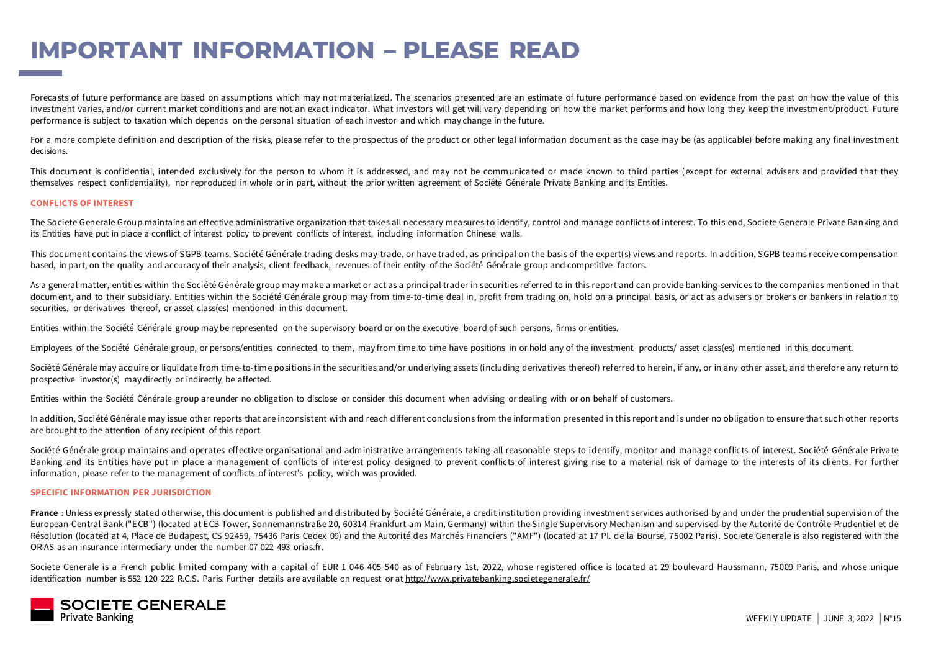# **IMPORTANT INFORMATION – PLEASE READ**

Forecasts of future performance are based on assumptions which may not materialized. The scenarios presented are an estimate of future performance based on evidence from the past on how the value of this investment varies, and/or current market conditions and are not an exact indicator. What investors will get will vary depending on how the market performs and how long they keep the investment/product. Future performance is subject to taxation which depends on the personal situation of each investor and which may change in the future.

For a more complete definition and description of the risks, please refer to the prospectus of the product or other legal information document as the case may be (as applicable) before making any final investment decisions.

This document is confidential, intended exclusively for the person to whom it is addressed, and may not be communicated or made known to third parties (except for external advisers and provided that they themselves respect confidentiality), nor reproduced in whole or in part, without the prior written agreement of Société Générale Private Banking and its Entities.

#### **CONFLICTS OF INTEREST**

The Societe Generale Group maintains an effective administrative organization that takes all necessary mea sures to identify, control and manage conflicts of interest. To this end, Societe Generale Private Banking and its Entities have put in place a conflict of interest policy to prevent conflicts of interest, including information Chinese walls.

This document contains the views of SGPB teams. Société Générale trading desks may trade, or have traded, as principal on the basis of the expert(s) views and reports. In addition, SGPB teams receive compensation based, in part, on the quality and accuracy of their analysis, client feedback, revenues of their entity of the Société Générale group and competitive factors.

As a general matter, entities within the Société Générale group may make a market or act as a principal trader in securities referred to in this report and can provide banking services to the companies mentioned in that document, and to their subsidiary. Entities within the Société Générale group may from time-to-time deal in, profit from trading on, hold on a principal basis, or act as advisers or brokers or bankers in relation to securities, or derivatives thereof, or asset class(es) mentioned in this document.

Entities within the Société Générale group may be represented on the supervisory board or on the executive board of such persons, firms or entities.

Employees of the Société Générale group, or persons/entities connected to them, may from time to time have positions in or hold any of the investment products/ asset class(es) mentioned in this document.

Société Générale may acquire or liquidate from time-to-time positions in the securities and/or underlying assets (including derivatives thereof) referred to herein, if any, or in any other asset, and therefore any return t prospective investor(s) may directly or indirectly be affected.

Entities within the Société Générale group areunder no obligation to disclose or consider this document when advising or dealing with or on behalf of customers.

In addition, Société Générale may issue other reports that are inconsistent with and reach differ ent conclusions from the information presented in this report and is under no obligation to ensure that such other reports are brought to the attention of any recipient of this report.

Société Générale group maintains and operates effective organisational and administrative arrangements taking all reasonable steps to identify, monitor and manage conflicts of interest. Société Générale Private Banking and its Entities have put in place a management of conflicts of interest policy designed to prevent conflicts of interest giving rise to a material risk of damage to the interests of its clients. For further information, please refer to the management of conflicts of interest's policy, which was provided.

#### **SPECIFIC INFORMATION PER JURISDICTION**

France : Unless expressly stated other wise, this document is published and distributed by Société Générale, a credit institution providing investment services authorised by and under the prudential supervision of the European Central Bank ("ECB") (located at ECB Tower, Sonnemannstraße 20, 60314 Frankfurt am Main, Germany) within the Single Supervisory Mechanism and supervised by the Autorité de Contrôle Prudentiel et de Résolution (loca ted at 4, Place de Budapest, CS 92459, 75436 Paris Cedex 09) and the Autorité des Marchés Financiers ("AMF") (located at 17 Pl. de la Bourse, 75002 Paris). Societe Generale is also registered with the ORIAS as an insurance intermediary under the number 07 022 493 orias.fr.

Societe Generale is a French public limited company with a capital of EUR 1 046 405 540 as of February 1st, 2022, whose registered office is located at 29 boulevard Haussmann, 75009 Paris, and whose unique identification number is 552 120 222 R.C.S. Paris. Further details are available on request or at <http://www.privatebanking.societegenerale.fr/>